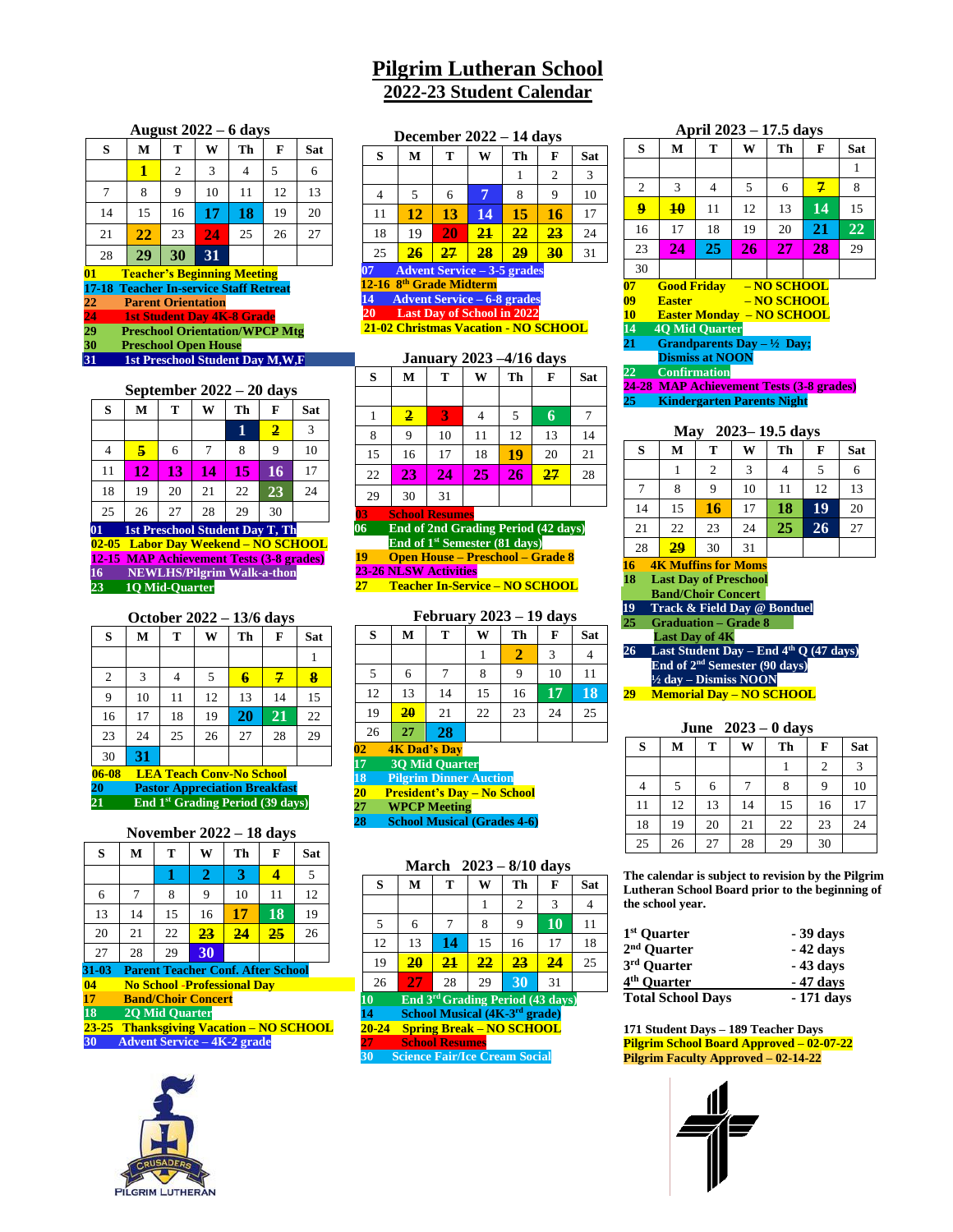# **Pilgrim Lutheran School 2022-23 Student Calendar**

#### **August 2022 – 6 days**

|                                          | ີ  |    |    |    |    |     |
|------------------------------------------|----|----|----|----|----|-----|
| S                                        | M  | T  | W  | Th | F  | Sat |
|                                          |    | 2  | 3  | 4  | 5  | 6   |
| $\tau$                                   | 8  | 9  | 10 | 11 | 12 | 13  |
| 14                                       | 15 | 16 | 17 | 18 | 19 | 20  |
| 21                                       | 22 | 23 | 24 | 25 | 26 | 27  |
| 28                                       | 29 | 30 | 31 |    |    |     |
| 01<br><b>Teacher's Beginning Meeting</b> |    |    |    |    |    |     |

**17-18 Teacher In-service Staff Retreat Parent Orientation 1st Student Day 4K-8 Grade** 

**29 Preschool Orientation/WPCP Mtg**

**30 Preschool Open House 31 1st Preschool Student Day M,W,F**

### **September 2022 – 20 days**

| - 1-<br>⊷ູ                                           |    |    |    |    |    |            |  |  |
|------------------------------------------------------|----|----|----|----|----|------------|--|--|
| S                                                    | М  | т  | W  | Th | F  | <b>Sat</b> |  |  |
|                                                      |    |    |    | 1  | 2  | 3          |  |  |
| 4                                                    | 5  | 6  |    | 8  | 9  | 10         |  |  |
| 11                                                   | 12 | 13 | 14 | 15 | 16 | 17         |  |  |
| 18                                                   | 19 | 20 | 21 | 22 | 23 | 24         |  |  |
| 25                                                   | 26 | 27 | 28 | 29 | 30 |            |  |  |
| $\boldsymbol{01}$<br>1st Preschool Student Day T, Th |    |    |    |    |    |            |  |  |

**02-05 Labor Day Weekend – NO SCHOOL 12-15 MAP Achievement Tests (3-8 grades) 16 NEWLHS/Pilgrim Walk-a-thon 23 1Q Mid-Quarter**

# **October 2022 – 13/6 days S M T W Th F Sat** 1 2 3 4 5 **6 7 8** 9 10 11 12 13 14 15 16 17 18 19 **20 21** 22

| 23    | 24                                   | 25 | 26 | 27 | 28 | ١g |  |
|-------|--------------------------------------|----|----|----|----|----|--|
| 30    | 31                                   |    |    |    |    |    |  |
| 06-08 | <b>LEA Teach Conv-No School</b>      |    |    |    |    |    |  |
| 20    | <b>Pastor Appreciation Breakfast</b> |    |    |    |    |    |  |

**21 End 1st Grading Period (39 days)**

| November 2022 – 18 days |  |  |  |  |  |  |  |
|-------------------------|--|--|--|--|--|--|--|
|                         |  |  |  |  |  |  |  |

| O                                                 | IVI. |    | VV | п               | г. | əat |  |
|---------------------------------------------------|------|----|----|-----------------|----|-----|--|
|                                                   |      |    | 2  | 3               |    | 5   |  |
| 6                                                 |      | 8  | 9  | 10              | 11 | 12  |  |
| 13                                                | 14   | 15 | 16 | 17              | 18 | 19  |  |
| 20                                                | 21   | 22 | 23 | $\overline{24}$ | 25 | 26  |  |
| 27                                                | 28   | 29 | 30 |                 |    |     |  |
| <b>Parent Teacher Conf. After School</b><br>31-03 |      |    |    |                 |    |     |  |

**04 No School -Professional Day**

**17 Band/Choir Concert**<br>**18 2Q Mid Quarter 18 2Q Mid Quarter**

 **23-25 Thanksgiving Vacation – NO SCHOOL 30 Advent Service – 4K-2 grade**



|                                     | December $2022 - 14$ days          |    |    |    |                |     |  |  |
|-------------------------------------|------------------------------------|----|----|----|----------------|-----|--|--|
| S                                   | M                                  | т  | W  | Th | F              | Sat |  |  |
|                                     |                                    |    |    |    | $\overline{2}$ | 3   |  |  |
|                                     | 5                                  | 6  | 7  | 8  | 9              | 10  |  |  |
| 11                                  | 12                                 | 13 | 14 | 15 | 16             | 17  |  |  |
| 18                                  | 19                                 | 20 | 21 | 22 | 23             | 24  |  |  |
| 25                                  | 26                                 | 27 | 28 | 29 | 30             | 31  |  |  |
|                                     | <b>Advent Service - 3-5 grades</b> |    |    |    |                |     |  |  |
| 12-16 8 <sup>th</sup> Grade Midterm |                                    |    |    |    |                |     |  |  |

#### **14 Advent Service – 6-8 grades 20 Last Day of School in 2022**

**21-02 Christmas Vacation - NO SCHOOL**

# **January 2023 –4/16 days**

| S  | M                       | T  | W  | Th | F  | Sat |
|----|-------------------------|----|----|----|----|-----|
|    |                         |    |    |    |    |     |
|    | $\overline{\mathbf{2}}$ | 3  | 4  | 5  | 6  |     |
| 8  | 9                       | 10 | 11 | 12 | 13 | 14  |
| 15 | 16                      | 17 | 18 | 19 | 20 | 21  |
| 22 | 23                      | 24 | 25 | 26 | 27 | 28  |
| 29 | 30                      | 31 |    |    |    |     |

 **03 School Resumes 06 End of 2nd Grading Period (42 days)**

**End of 1st Semester (81 days)**

 **19 Open House – Preschool – Grade 8 23-26 NLSW Activities**

**27 Teacher In-Service – NO SCHOOL**

# **February 2023 – 19 days**

|                                     |    |                                    |    |    | ر - |     |  |
|-------------------------------------|----|------------------------------------|----|----|-----|-----|--|
| S                                   | М  | т                                  | W  | Th | F   | Sat |  |
|                                     |    |                                    |    | 2  | 3   |     |  |
| 5                                   | 6  |                                    | 8  | 9  | 10  | 11  |  |
| 12                                  | 13 | 14                                 | 15 | 16 | 17  | 18  |  |
| 19                                  | 20 | 21                                 | 22 | 23 | 24  | 25  |  |
| 26                                  | 27 | 28                                 |    |    |     |     |  |
| $\overline{02}$                     |    | <b>4K Dad's Day</b>                |    |    |     |     |  |
| 17                                  |    | <b>30 Mid Quarter</b>              |    |    |     |     |  |
| 18<br><b>Pilgrim Dinner Auction</b> |    |                                    |    |    |     |     |  |
| $\overline{20}$                     |    | <b>President's Day - No School</b> |    |    |     |     |  |

**27 WPCP Meeting**

**28 School Musical (Grades 4-6)**

| $2023 - 8/10$ days<br>March |                                      |                                              |         |                |           |     |  |
|-----------------------------|--------------------------------------|----------------------------------------------|---------|----------------|-----------|-----|--|
| S                           | M                                    | т                                            | W       | Th             | F         | Sat |  |
|                             |                                      |                                              | 1       | $\overline{2}$ | 3         | 4   |  |
| 5                           | 6                                    | 7                                            | 8       | 9              | <b>10</b> | 11  |  |
| 12                          | 13                                   | 14                                           | 15      | 16             | 17        | 18  |  |
| 19                          | 20                                   | 21                                           | $22 \,$ | 23             | 24        | 25  |  |
| 26                          | 27                                   | 28                                           | 29      | 30             | 31        |     |  |
| 10                          |                                      | End 3 <sup>rd</sup> Grading Period (43 days) |         |                |           |     |  |
| 14                          |                                      | School Musical (4K-3 <sup>rd</sup> grade)    |         |                |           |     |  |
| $20 - 24$                   |                                      | <b>Spring Break – NO SCHOOL</b>              |         |                |           |     |  |
| 27                          |                                      | <b>School Resumes</b>                        |         |                |           |     |  |
| 30                          | <b>Science Fair/Ice Cream Social</b> |                                              |         |                |           |     |  |

| S                                                                                                                                                                                                                                                                                                                                                           | M            | T              | W  | Th | F             | Sat        |  |
|-------------------------------------------------------------------------------------------------------------------------------------------------------------------------------------------------------------------------------------------------------------------------------------------------------------------------------------------------------------|--------------|----------------|----|----|---------------|------------|--|
|                                                                                                                                                                                                                                                                                                                                                             |              |                |    |    |               | 1          |  |
| $\sqrt{2}$                                                                                                                                                                                                                                                                                                                                                  | 3            | $\overline{4}$ | 5  | 6  | $\mathcal{I}$ | 8          |  |
| $\overline{\mathbf{Q}}$                                                                                                                                                                                                                                                                                                                                     | 10           | 11             | 12 | 13 | 14            | 15         |  |
| 16                                                                                                                                                                                                                                                                                                                                                          | 17           | 18             | 19 | 20 | 21            | 22         |  |
| 23                                                                                                                                                                                                                                                                                                                                                          | 24           | 25             | 26 | 27 | 28            | 29         |  |
| 30                                                                                                                                                                                                                                                                                                                                                          |              |                |    |    |               |            |  |
| 09<br>- NO SCHOOL<br><b>Easter</b><br>10 <sup>°</sup><br><b>Easter Monday - NO SCHOOL</b><br>14<br><b>40 Mid Ouarter</b><br>Grandparents Day $-\frac{1}{2}$ Day;<br>21<br><b>Dismiss at NOON</b><br>22<br><b>Confirmation</b><br><b>MAP Achievement Tests (3-8 grades)</b><br>24-28<br>25<br><b>Kindergarten Parents Night</b><br>$2023 - 19.5$ days<br>Mav |              |                |    |    |               |            |  |
| S                                                                                                                                                                                                                                                                                                                                                           | M            | T              | W  | Th | F             | <b>Sat</b> |  |
|                                                                                                                                                                                                                                                                                                                                                             | $\mathbf{1}$ | $\overline{2}$ | 3  | 4  | 5             | 6          |  |
| 7                                                                                                                                                                                                                                                                                                                                                           | 8            | 9              | 10 | 11 | 12            | 13         |  |
| 14                                                                                                                                                                                                                                                                                                                                                          | 15           | 16             | 17 | 18 | 19            | 20         |  |
| 21                                                                                                                                                                                                                                                                                                                                                          | 22           | 23             | 24 | 25 | 26            | 27         |  |
| 28                                                                                                                                                                                                                                                                                                                                                          | 29           | 30             | 31 |    |               |            |  |
| <b>4K Muffins for Moms</b><br>16<br><b>Last Day of Preschool</b><br>18<br><b>Band/Choir Concert</b>                                                                                                                                                                                                                                                         |              |                |    |    |               |            |  |

**April 2023 – 17.5 days**

**19 Track & Field Day @ Bonduel**

**25 Graduation – Grade 8 Last Day of 4K**

# **26 Last Student Day – End 4th Q (47 days) End of 2nd Semester (90 days) ½ day – Dismiss NOON**

**29 Memorial Day – NO SCHOOL**

| June $2023 - 0$ days |    |    |    |    |    |     |  |
|----------------------|----|----|----|----|----|-----|--|
| S                    | М  | T  | W  | Th | F  | Sat |  |
|                      |    |    |    |    | 2  | 3   |  |
| 4                    | 5  | 6  | 7  | 8  | 9  | 10  |  |
| 11                   | 12 | 13 | 14 | 15 | 16 | 17  |  |
| 18                   | 19 | 20 | 21 | 22 | 23 | 24  |  |
| 25                   | 26 | 27 | 28 | 29 | 30 |     |  |

**The calendar is subject to revision by the Pilgrim Lutheran School Board prior to the beginning of the school year.** 

| $1st$ Quarter            | - 39 days  |
|--------------------------|------------|
| 2 <sup>nd</sup> Quarter  | - 42 days  |
| 3rd Quarter              | - 43 days  |
| 4 <sup>th</sup> Quarter  | - 47 days  |
| <b>Total School Days</b> | - 171 days |

**171 Student Days – 189 Teacher Days Pilgrim School Board Approved – 02-07-22 Pilgrim Faculty Approved – 02-14-22**